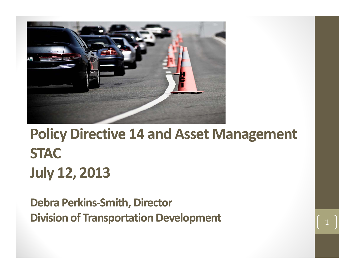

#### **Policy Directive 14 and Asset Management STACJuly 12, 2013**

**Debra Perkins‐Smith, Director Division of Transportation Development** <sup>1</sup>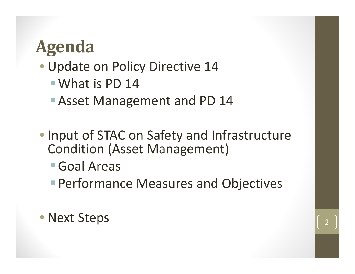#### **Agenda**

- Update on Policy Directive 14
	- What is PD 14
	- Asset Management and PD 14
- Input of STAC on Safety and Infrastructure Condition (Asset Management)
	- Goal Areas
	- Performance Measures and Objectives

• Next Steps 2012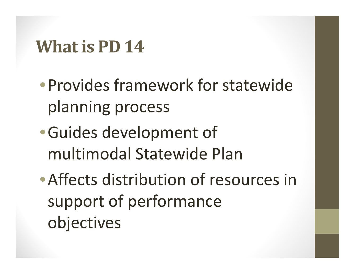#### **Whatis PD 14**

- •Provides framework for statewideplanning process
- •Guides development of multimodal Statewide Plan
- •Affects distribution of resources in support of performance objectives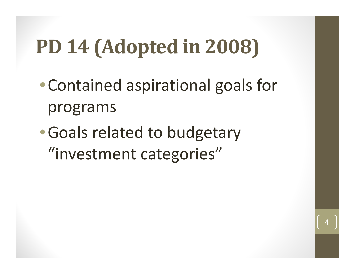## **PD 14 (Adopted in 2008)**

- •Contained aspirational goals for programs
- •Goals related to budgetary "investment categories"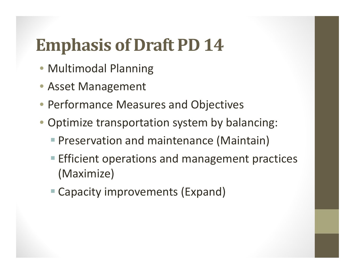### **Emphasis of Draft PD 14**

- Multimodal Planning
- Asset Management
- Performance Measures and Objectives
- Optimize transportation system by balancing:
	- **Preservation and maintenance (Maintain)**
	- **Efficient operations and management practices** (Maximize)
	- Capacity improvements (Expand)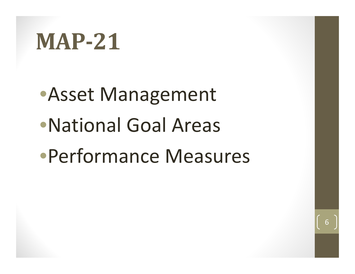## **MAP‐21**

•Asset Management •National Goal Areas•Performance Measures

6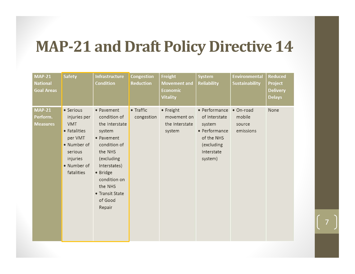#### **MAP‐21 and Draft Policy Directive 14**

| <b>MAP-21</b><br><b>National</b><br><b>Goal Areas</b> | <b>Safety</b>                                                                                                                         | <b>Infrastructure</b><br><b>Condition</b>                                                                                                                                                                    | <b>Congestion</b><br><b>Reduction</b> | Freight<br><b>Movement and</b><br><b>Economic</b><br><b>Vitality</b> | <b>System</b><br><b>Reliability</b>                                                                            | <b>Environmental</b><br><b>Sustainability</b> | <b>Reduced</b><br>Project<br><b>Delivery</b><br><b>Delays</b> |
|-------------------------------------------------------|---------------------------------------------------------------------------------------------------------------------------------------|--------------------------------------------------------------------------------------------------------------------------------------------------------------------------------------------------------------|---------------------------------------|----------------------------------------------------------------------|----------------------------------------------------------------------------------------------------------------|-----------------------------------------------|---------------------------------------------------------------|
| <b>MAP-21</b><br>Perform.<br><b>Measures</b>          | • Serious<br>injuries per<br><b>VMT</b><br>• Fatalities<br>per VMT<br>• Number of<br>serious<br>injuries<br>• Number of<br>fatalities | • Pavement<br>condition of<br>the Interstate<br>system<br>• Pavement<br>condition of<br>the NHS<br>(excluding<br>Interstates)<br>• Bridge<br>condition on<br>the NHS<br>• Transit State<br>of Good<br>Repair | • Traffic<br>congestion               | • Freight<br>movement on<br>the Interstate<br>system                 | • Performance<br>of Interstate<br>system<br>• Performance<br>of the NHS<br>(excluding<br>Interstate<br>system) | · On-road<br>mobile<br>source<br>emissions    | None                                                          |

7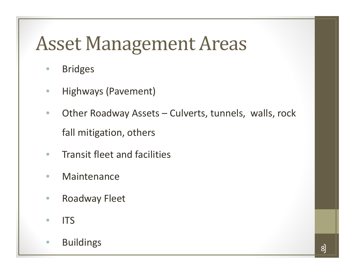### **Asset Management Areas**

- $\bullet$ Bridges
- $\bullet$ Highways (Pavement)
- $\bullet$  Other Roadway Assets – Culverts, tunnels, walls, rock fall mitigation, others
- $\bullet$ **• Transit fleet and facilities**
- $\bullet$ Maintenance
- $\bullet$ Roadway Fleet
- $\bullet$  $\bullet$  ITS
- $\bullet$ Buildings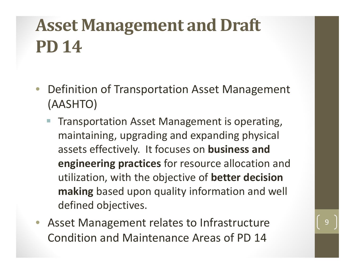### **Asset Management and Draft PD 14**

- $\bullet$  Definition of Transportation Asset Management (AASHTO)
	- Transportation Asset Management is operating, maintaining, upgrading and expanding physical assets effectively. It focuses on **business and engineering practices** for resource allocation and utilization, with the objective of **better decision making** based upon quality information and well defined objectives.
- Asset Management relates to Infrastructure Condition and Maintenance Areas of PD 14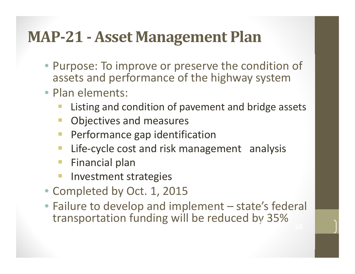#### **MAP‐21 ‐ Asset Management Plan**

- Purpose: To improve or preserve the condition of assets and performance of the highway system
- Plan elements:
	- Listing and condition of pavement and bridge assets
	- Objectives and measures
	- **Performance gap identification**
	- Life-cycle cost and risk management analysis
	- $\overline{\mathbb{R}}$ Financial plan
	- $\mathcal{L}_{\mathcal{A}}$ Investment strategies
- Completed by Oct. 1, 2015
- Failure to develop and implement state's federal transportation funding will be reduced by 35%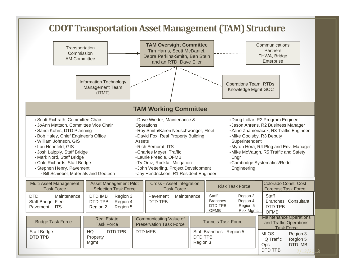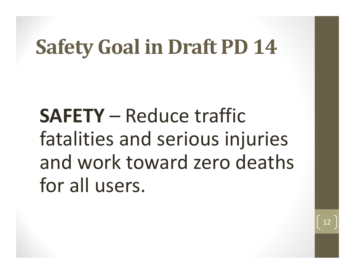## **Safety Goal in Draft PD 14**

**SAFETY** – Reduce traffic fatalities and serious injuries and work toward zero deaths for all users.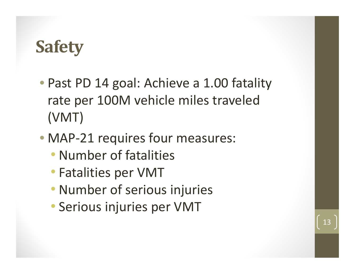#### **Safety**

- Past PD 14 goal: Achieve <sup>a</sup> 1.00 fatality rate per 100M vehicle miles traveled (VMT)
- MAP‐21 requires four measures:
	- Number of fatalities
	- Fatalities per VMT
	- Number of serious injuries
	- Serious injuries per VMT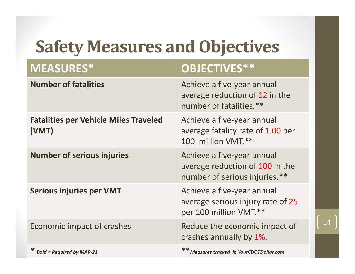### **Safety Measures and Objectives**

| <b>MEASURES*</b>                                      | OBJECTIVES**                                                                                   |
|-------------------------------------------------------|------------------------------------------------------------------------------------------------|
| <b>Number of fatalities</b>                           | Achieve a five-year annual<br>average reduction of 12 in the<br>number of fatalities.**        |
| <b>Fatalities per Vehicle Miles Traveled</b><br>(VMT) | Achieve a five-year annual<br>average fatality rate of 1.00 per<br>100 million VMT.**          |
| <b>Number of serious injuries</b>                     | Achieve a five-year annual<br>average reduction of 100 in the<br>number of serious injuries.** |
| <b>Serious injuries per VMT</b>                       | Achieve a five-year annual<br>average serious injury rate of 25<br>per 100 million VMT.**      |
| Economic impact of crashes                            | Reduce the economic impact of<br>crashes annually by 1%.                                       |
| * Bold = Required by MAP-21                           | ** Measures tracked in YourCDOTDollar.com                                                      |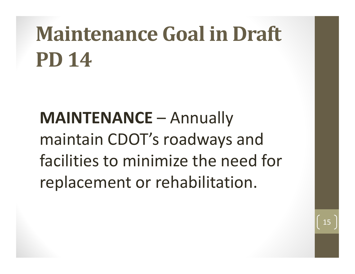# **Maintenance Goal in Draft PD 14**

**MAINTENANCE** – Annually maintain CDOT's roadways and facilities to minimize the need for replacement or rehabilitation.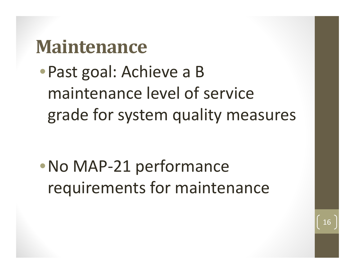#### **Maintenance**

•Past goal: Achieve <sup>a</sup> B maintenance level of service grade for system quality measures

•No MAP‐21 performance requirements for maintenance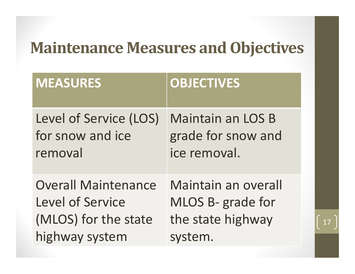#### **Maintenance Measures and Objectives**

| <b>MEASURES</b>            | <b>OBJECTIVES</b>        |
|----------------------------|--------------------------|
| Level of Service (LOS)     | <b>Maintain an LOS B</b> |
| for snow and ice           | grade for snow and       |
| removal                    | ice removal.             |
| <b>Overall Maintenance</b> | Maintain an overall      |
| <b>Level of Service</b>    | MLOS B- grade for        |
| (MLOS) for the state       | the state highway        |
| highway system             | system.                  |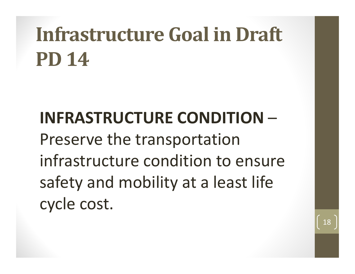# **Infrastructure Goal in Draft PD 14**

#### **INFRASTRUCTURE CONDITIONLawrence Committee** Preserve the transportation infrastructure condition to ensure safety and mobility at a least life cycle cost.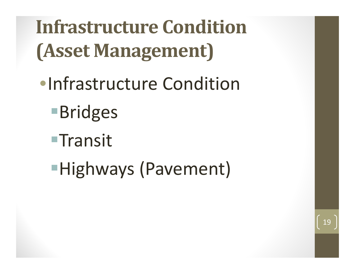**Infrastructure Condition(Asset Management)**

- •Infrastructure Condition
	- ■**Bridges**
	- $\blacksquare$ Transit
	- Highways (Pavement)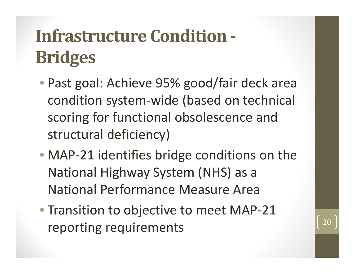### **Infrastructure Condition ‐ Bridges**

- Past goal: Achieve 95% good/fair deck area condition system‐wide (based on technical scoring for functional obsolescence and structural deficiency)
- MAP‐21 identifies bridge conditions on the National Highway System (NHS) as <sup>a</sup> National Performance Measure Area
- Transition to objective to meet MAP‐21 reporting requirements  $\begin{bmatrix} 20 \end{bmatrix}$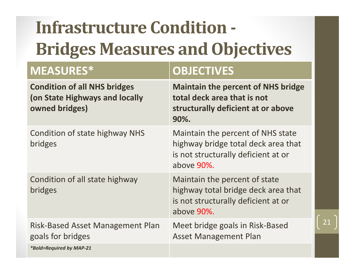## **Infrastructure Condition ‐ Bridges Measures and Objectives**

#### $MEASURES*$

#### **OBJECTIVES**

21

| <b>Condition of all NHS bridges</b><br>(on State Highways and locally<br>owned bridges) | <b>Maintain the percent of NHS bridge</b><br>total deck area that is not<br>structurally deficient at or above<br>90%.        |
|-----------------------------------------------------------------------------------------|-------------------------------------------------------------------------------------------------------------------------------|
| Condition of state highway NHS<br>bridges                                               | Maintain the percent of NHS state<br>highway bridge total deck area that<br>is not structurally deficient at or<br>above 90%. |
| Condition of all state highway<br>bridges                                               | Maintain the percent of state<br>highway total bridge deck area that<br>is not structurally deficient at or<br>above 90%.     |
| <b>Risk-Based Asset Management Plan</b><br>goals for bridges                            | Meet bridge goals in Risk-Based<br><b>Asset Management Plan</b>                                                               |
| <i>*Bold=Required by MAP-21</i>                                                         |                                                                                                                               |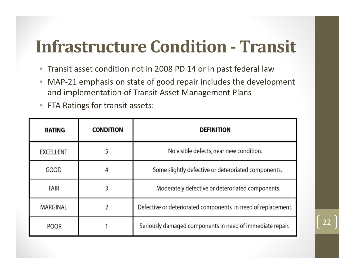### **Infrastructure Condition ‐ Transit**

- $\bullet$ Transit asset condition not in 2008 PD 14 or in past federal law
- $\bullet$ ● MAP-21 emphasis on state of good repair includes the development and implementation of Transit Asset Management Plans
- FTA Ratings for transit assets:

| <b>RATING</b>    | <b>CONDITION</b> | <b>DEFINITION</b>                                            |
|------------------|------------------|--------------------------------------------------------------|
| <b>EXCELLENT</b> |                  | No visible defects, near new condition.                      |
| GOOD             |                  | Some slightly defective or deteroriated components.          |
| <b>FAIR</b>      |                  | Moderately defective or deteroriated components.             |
| <b>MARGINAL</b>  |                  | Defective or deteriorated components in need of replacement. |
| <b>POOR</b>      |                  | Seriously damaged components in need of immediate repair.    |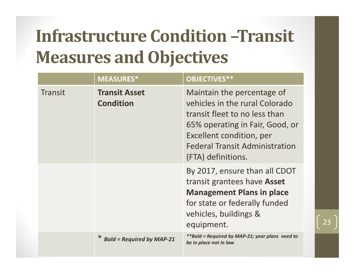### **Infrastructure Condition –Transit Measures and Objectives**

|         | <b>MEASURES*</b>                         | OBJECTIVES**                                                                                                                                                                                                                |
|---------|------------------------------------------|-----------------------------------------------------------------------------------------------------------------------------------------------------------------------------------------------------------------------------|
| Transit | <b>Transit Asset</b><br><b>Condition</b> | Maintain the percentage of<br>vehicles in the rural Colorado<br>transit fleet to no less than<br>65% operating in Fair, Good, or<br>Excellent condition, per<br><b>Federal Transit Administration</b><br>(FTA) definitions. |
|         |                                          | By 2017, ensure than all CDOT<br>transit grantees have <b>Asset</b><br><b>Management Plans in place</b><br>for state or federally funded<br>vehicles, buildings &<br>equipment.                                             |
|         | <b>Bold = Required by MAP-21</b>         | <i>**Bold = Required by MAP-21; year plans need to</i><br>be in place not in law                                                                                                                                            |